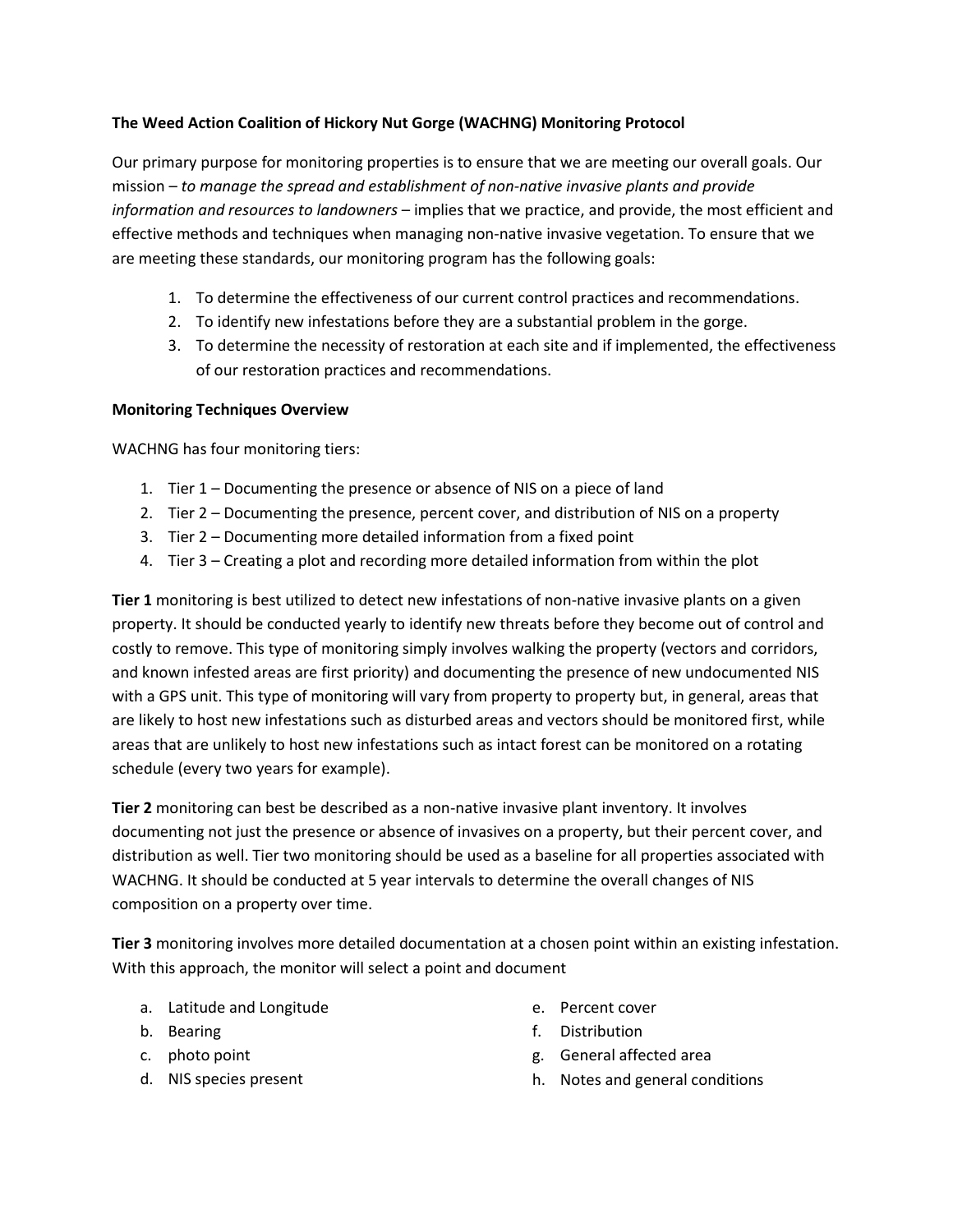### **The Weed Action Coalition of Hickory Nut Gorge (WACHNG) Monitoring Protocol**

Our primary purpose for monitoring properties is to ensure that we are meeting our overall goals. Our mission – *to manage the spread and establishment of non-native invasive plants and provide information and resources to landowners* – implies that we practice, and provide, the most efficient and effective methods and techniques when managing non-native invasive vegetation. To ensure that we are meeting these standards, our monitoring program has the following goals:

- 1. To determine the effectiveness of our current control practices and recommendations.
- 2. To identify new infestations before they are a substantial problem in the gorge.
- 3. To determine the necessity of restoration at each site and if implemented, the effectiveness of our restoration practices and recommendations.

#### **Monitoring Techniques Overview**

WACHNG has four monitoring tiers:

- 1. Tier 1 Documenting the presence or absence of NIS on a piece of land
- 2. Tier 2 Documenting the presence, percent cover, and distribution of NIS on a property
- 3. Tier 2 Documenting more detailed information from a fixed point
- 4. Tier 3 Creating a plot and recording more detailed information from within the plot

**Tier 1** monitoring is best utilized to detect new infestations of non-native invasive plants on a given property. It should be conducted yearly to identify new threats before they become out of control and costly to remove. This type of monitoring simply involves walking the property (vectors and corridors, and known infested areas are first priority) and documenting the presence of new undocumented NIS with a GPS unit. This type of monitoring will vary from property to property but, in general, areas that are likely to host new infestations such as disturbed areas and vectors should be monitored first, while areas that are unlikely to host new infestations such as intact forest can be monitored on a rotating schedule (every two years for example).

**Tier 2** monitoring can best be described as a non-native invasive plant inventory. It involves documenting not just the presence or absence of invasives on a property, but their percent cover, and distribution as well. Tier two monitoring should be used as a baseline for all properties associated with WACHNG. It should be conducted at 5 year intervals to determine the overall changes of NIS composition on a property over time.

**Tier 3** monitoring involves more detailed documentation at a chosen point within an existing infestation. With this approach, the monitor will select a point and document

- a. Latitude and Longitude
- b. Bearing
- c. photo point
- d. NIS species present
- e. Percent cover
- f. Distribution
- g. General affected area
- h. Notes and general conditions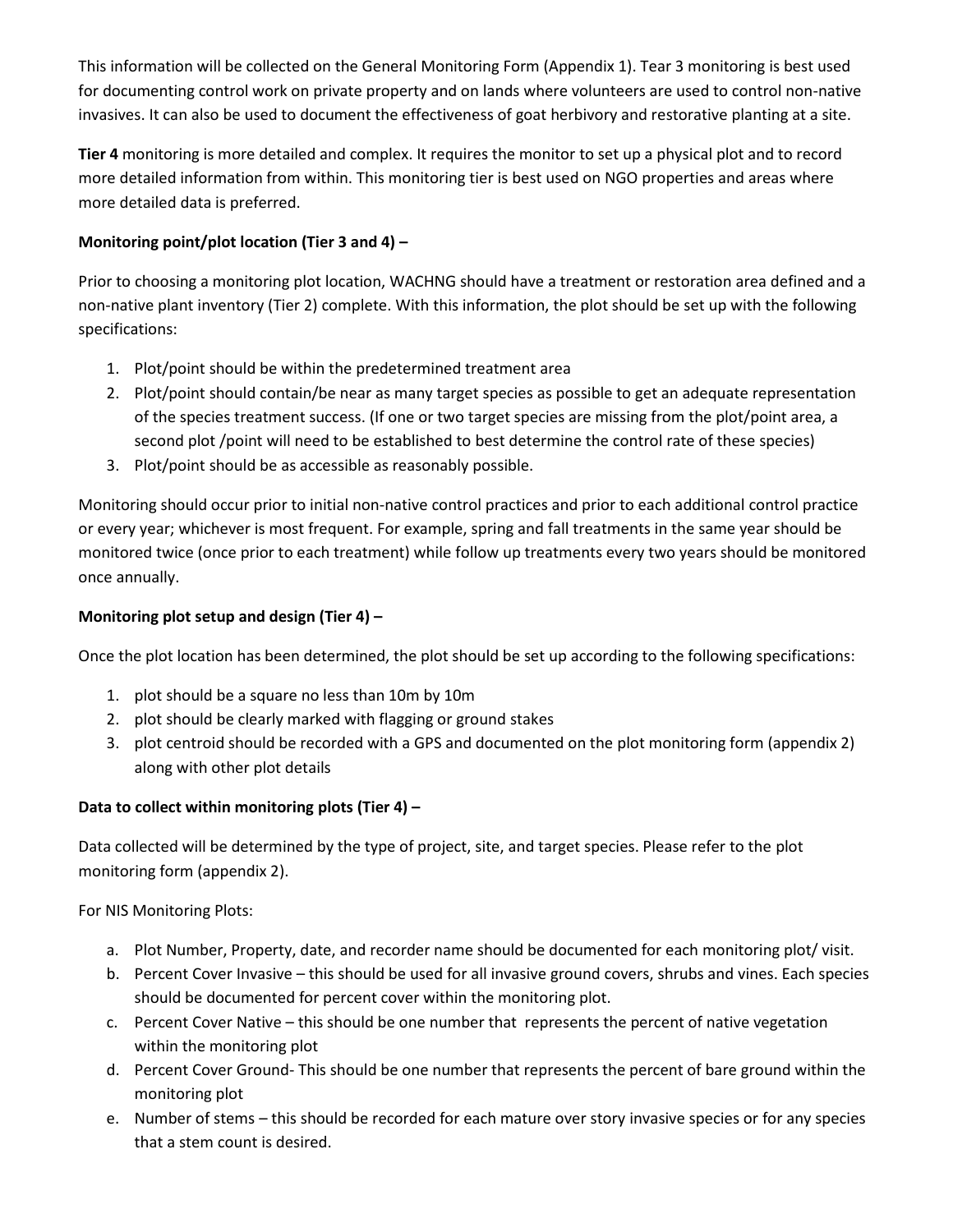This information will be collected on the General Monitoring Form (Appendix 1). Tear 3 monitoring is best used for documenting control work on private property and on lands where volunteers are used to control non-native invasives. It can also be used to document the effectiveness of goat herbivory and restorative planting at a site.

**Tier 4** monitoring is more detailed and complex. It requires the monitor to set up a physical plot and to record more detailed information from within. This monitoring tier is best used on NGO properties and areas where more detailed data is preferred.

### **Monitoring point/plot location (Tier 3 and 4) –**

Prior to choosing a monitoring plot location, WACHNG should have a treatment or restoration area defined and a non-native plant inventory (Tier 2) complete. With this information, the plot should be set up with the following specifications:

- 1. Plot/point should be within the predetermined treatment area
- 2. Plot/point should contain/be near as many target species as possible to get an adequate representation of the species treatment success. (If one or two target species are missing from the plot/point area, a second plot /point will need to be established to best determine the control rate of these species)
- 3. Plot/point should be as accessible as reasonably possible.

Monitoring should occur prior to initial non-native control practices and prior to each additional control practice or every year; whichever is most frequent. For example, spring and fall treatments in the same year should be monitored twice (once prior to each treatment) while follow up treatments every two years should be monitored once annually.

## **Monitoring plot setup and design (Tier 4) –**

Once the plot location has been determined, the plot should be set up according to the following specifications:

- 1. plot should be a square no less than 10m by 10m
- 2. plot should be clearly marked with flagging or ground stakes
- 3. plot centroid should be recorded with a GPS and documented on the plot monitoring form (appendix 2) along with other plot details

# **Data to collect within monitoring plots (Tier 4) –**

Data collected will be determined by the type of project, site, and target species. Please refer to the plot monitoring form (appendix 2).

For NIS Monitoring Plots:

- a. Plot Number, Property, date, and recorder name should be documented for each monitoring plot/ visit.
- b. Percent Cover Invasive this should be used for all invasive ground covers, shrubs and vines. Each species should be documented for percent cover within the monitoring plot.
- c. Percent Cover Native this should be one number that represents the percent of native vegetation within the monitoring plot
- d. Percent Cover Ground- This should be one number that represents the percent of bare ground within the monitoring plot
- e. Number of stems this should be recorded for each mature over story invasive species or for any species that a stem count is desired.